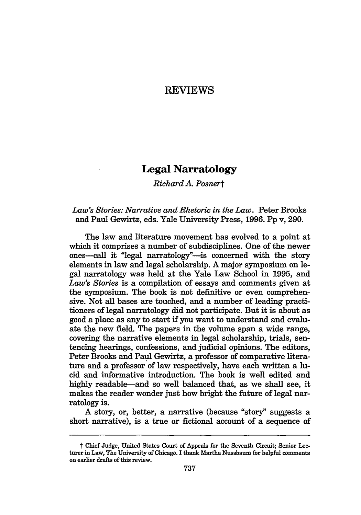## REVIEWS

## **Legal Narratology**

*Richard A Posnert*

## *Law's Stories: Narrative and Rhetoric in the Law.* Peter Brooks and Paul Gewirtz, eds. Yale University Press, 1996. Pp v, 290.

The law and literature movement has evolved to a point at which it comprises a number of subdisciplines. One of the newer ones--call it "legal narratology"-is concerned with the story elements in law and legal scholarship. A major symposium on legal narratology was held at the Yale Law School in 1995, and *Law's Stories* is a compilation of essays and comments given at the symposium. The book is not definitive or even comprehensive. Not all bases are touched, and a number of leading practitioners of legal narratology did not participate. But it is about as good a place as any to start if you want to understand and evaluate the new field. The papers in the volume span a wide range, covering the narrative elements in legal scholarship, trials, sentencing hearings, confessions, and judicial opinions. The editors, Peter Brooks and Paul Gewirtz, a professor of comparative literature and a professor of law respectively, have each written a lucid and informative introduction. The book is well edited and highly readable-and so well balanced that, as we shall see, it makes the reader wonder just how bright the future of legal narratology is.

A story, or, better, a narrative (because "story" suggests a short narrative), is a true or fictional account of a sequence of

t Chief Judge, United States Court of Appeals for the Seventh Circuit; Senior Lecturer in Law, The University of Chicago. I thank Martha Nussbaum for helpful comments on earlier drafts of this review.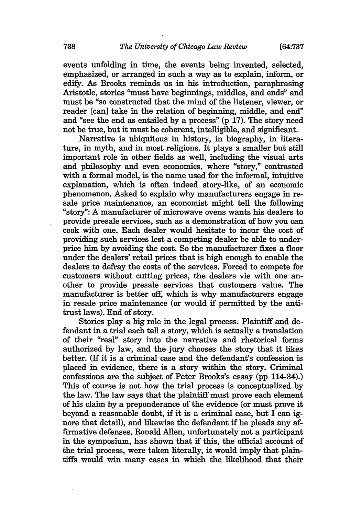events unfolding in time, the events being invented, selected, emphasized, or arranged in such a way as to explain, inform, or edify. As Brooks reminds us in his introduction, paraphrasing Aristotle, stories "must have beginnings, middles, and ends" and must be "so constructed that the mind of the listener, viewer, or reader [can] take in the relation of beginning, middle, and end" and "see the end as entailed by a process" (p **17).** The story need not be true, but it must be coherent, intelligible, and significant.

Narrative is ubiquitous in history, in biography, in literature, in myth, and in most religions. It plays a smaller but still important role in other fields as well, including the visual arts and philosophy and even economics, where "story," contrasted with a formal model, is the name used for the informal, intuitive explanation, which is often indeed story-like, of an economic phenomenon. Asked to explain why manufacturers engage in re-"story": A manufacturer of microwave ovens wants his dealers to provide presale services, such as a demonstration of how you can cook with one. Each dealer would hesitate to incur the cost of providing such services lest a competing dealer be able to underprice him by avoiding the cost. So the manufacturer fixes a floor under the dealers' retail prices that is high enough to enable the dealers to defray the costs of the services. Forced to compete for customers without cutting prices, the dealers vie with one another to provide presale services that customers value. The manufacturer is better off, which is why manufacturers engage in resale price maintenance (or would if permitted by the antitrust laws). End of story.

Stories play a big role in the legal process. Plaintiff and defendant in a trial each tell a story, which is actually a translation of their "real" story into the narrative and rhetorical forms authorized by law, and the jury chooses the story that it likes better. (If it is a criminal case and the defendant's confession is placed in evidence, there is a story within the story. Criminal confessions are the subject of Peter Brooks's essay (pp 114-34).) This of course is not how the trial process is conceptualized by the law. The law says that the plaintiff must prove each element of his claim by a preponderance of the evidence (or must prove it beyond a reasonable doubt, if it is a criminal case, but I can ignore that detail), and likewise the defendant if he pleads any affirmative defenses. Ronald Allen, unfortunately not a participant in the symposium, has shown that if this, the official account of the trial process, were taken literally, it would imply that plaintiffs would win many cases in which the likelihood that their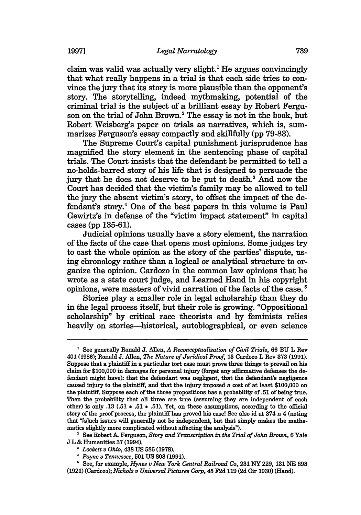claim was valid was actually very slight.' He argues convincingly that what really happens in a trial is that each side tries to convince the jury that its story is more plausible than the opponent's story. The storytelling, indeed mythmaking, potential of the criminal trial is the subject of a brilliant essay by Robert Ferguson on the trial of John Brown.2 The essay is not in the book, but Robert Weisberg's paper on trials as narratives, which is, summarizes Ferguson's essay compactly and skillfully (pp 79-83).

The Supreme Court's capital punishment jurisprudence has magnified the story element in the sentencing phase of capital trials. The Court insists that the defendant be permitted to tell a no-holds-barred story of his life that is designed to persuade the jury that he does not deserve to be put to death.<sup>3</sup> And now the Court has decided that the victim's family may be allowed to tell the jury the absent victim's story, to offset the impact of the defendant's story.4 One of the best papers in this volume is Paul Gewirtz's in defense of the "victim impact statement" in capital cases (pp 135-61).

Judicial opinions usually have a story element, the narration of the facts of the case that opens most opinions. Some judges try to cast the whole opinion as the story of the parties' dispute, using chronology rather than a logical or analytical structure to organize the opinion. Cardozo in the common law opinions that he wrote as a state court judge, and Learned Hand in his copyright opinions, were masters of vivid narration of the facts of the case.'

Stories play a smaller role in legal scholarship than they do in the legal process itself, but their role is growing. "Oppositional scholarship" by critical race theorists and by feminists relies heavily on stories—historical, autobiographical, or even science

**<sup>&#</sup>x27;** See generally Ronald **J.** Allen, *A Reconceptualization of Civil Trials,* **66 BU** L Rev 401 (1986); Ronald **J.** Allen, *The Nature of Juridical Proof,* 13 Cardozo L Rev **373** (1991). Suppose that a plaintiff in a particular tort case must prove three things to prevail on his claim for \$100,000 in damages for personal injury (forget any affirmative defenses the defendant might have): that the defendant was negligent, that the defendant's negligence caused injury to the plaintiff, and that the injury imposed a cost of at least \$100,000 on the plaintiff. Suppose each of the three propositions has a probability of.51 of being true. Then the probability that all three are true (assuming they are independent of each other) is only .13 (.51 **\* .51 \*** .51). Yet, on these assumptions, according to the official story of the proof process, the plaintiff has proved his case! See also id at 374 n 4 (noting that "[s]uch issues will generally not be independent, but that simply makes the mathematics slightly more complicated without affecting the analysis").

**<sup>2</sup>**See Robert *A.* Ferguson, *Story and Transcription in the Trial of John Brown,* 6 Yale J L & Humanities 37 (1994).

**<sup>3</sup>***Lockett v Ohio,* 438 US 586 (1978).

*<sup>&</sup>quot; Payne v Tennessee,* 501 US 808 **(1991).**

**<sup>&#</sup>x27;** See, for example, *Hynes v New York Central Railroad Co,* **231** NY 229, **131** NE **898** (1921) (Cardozo); *Nichols v Universal Pictures Corp,* 45 **F2d 119** (2d Cir 1930) (Hand).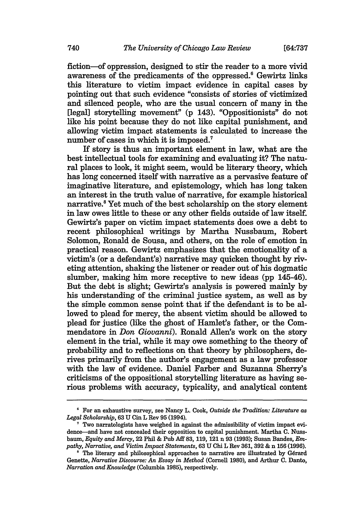fiction-of oppression, designed to stir the reader to a more vivid awareness of the predicaments of the oppressed.<sup>6</sup> Gewirtz links this literature to victim impact evidence in capital cases by pointing out that such evidence "consists of stories of victimized and silenced people, who are the usual concern of many in the [legal] storytelling movement" (p 143). "Oppositionists" do not like his point because they do not like capital punishment, and allowing victim impact statements is calculated to increase the number of cases in which it is imposed.<sup>7</sup>

If story is thus an important element in law, what are the best intellectual tools for examining and evaluating it? The natural places to look, it might seem, would be literary theory, which has long concerned itself with narrative as a pervasive feature of imaginative literature, and epistemology, which has long taken an interest in the truth value of narrative, for example historical narrative.8 Yet much of the best scholarship on the story element in law owes little to these or any other fields outside of law itself. Gewirtz's paper on victim impact statements does owe a debt to recent philosophical writings by Martha Nussbaum, Robert Solomon, Ronald de Sousa, and others, on the role of emotion in practical reason. Gewirtz emphasizes that the emotionality of a victim's (or a defendant's) narrative may quicken thought by riveting attention, shaking the listener or reader out of his dogmatic slumber, making him more receptive to new ideas (pp 145-46). But the debt is slight; Gewirtz's analysis is powered mainly by his understanding of the criminal justice system, as well as by the simple common sense point that if the defendant is to be allowed to plead for mercy, the absent victim should be allowed to plead for justice (like the ghost of Hamlet's father, or the Commendatore in *Don Giovanni).* Ronald Allen's work on the story element in the trial, while it may owe something to the theory of probability and to reflections on that theory by philosophers, derives primarily from the author's engagement as a law professor with the law of evidence. Daniel Farber and Suzanna Sherry's criticisms of the oppositional storytelling literature as having serious problems with accuracy, typicality, and analytical content

For an exhaustive survey, see Nancy L. Cook, *Outside the Tradition: Literature as Legal Scholarship,* **63 U Cin** L Rev **95** (1994).

 $\sigma$  Two narratologists have weighed in against the admissibility of victim impact evidence-and have not concealed their opposition to capital punishment. Martha **C.** Nussbaum, *Equity and Mercy,* 22 Phil & Pub **Aff 83, 119,** 121 **n 93 (1993);** Susan Bandes, *Empathy, Narrative, and Victim Impact Statements,* **63 U** Chi L Rev **361, 392** & **n 156 (1996).**

**<sup>&#</sup>x27;** The literary and philosophical approaches to narrative are illustrated **by** Gerard Genette, *Narrative Discourse: An Essay in Method* (Cornell **1980),** and Arthur **C.** Danto, *Narration and Knowledge* (Columbia **1985),** respectively.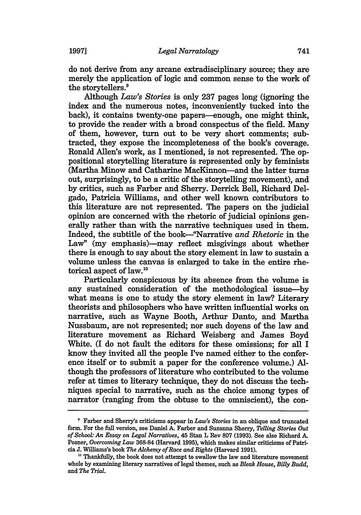do not derive from any arcane extradisciplinary source; they are merely the application of logic and common sense to the work of the storytellers.<sup>9</sup>

Although *Law's Stories* is only **237** pages long (ignoring the index and the numerous notes, inconveniently tucked into the back), it contains twenty-one papers-enough, one might think, to provide the reader with a broad conspectus of the field. Many of them, however, turn out to be very short comments; subtracted, they expose the incompleteness of the book's coverage. Ronald Allen's work, as I mentioned, is not represented. The oppositional storytelling literature is represented only by feminists (Martha Minow and Catharine MacKinnon-and the latter turns out, surprisingly, to be a critic of the storytelling movement), and by critics, such as Farber and Sherry. Derrick Bell, Richard Delgado, Patricia Williams, and other well known contributors to this literature are not represented. The papers on the judicial opinion are concerned with the rhetoric of judicial opinions generally rather than with the narrative techniques used in them. Indeed, the subtitle of the book-"Narrative *and Rhetoric* in the Law" (my emphasis)—may reflect misgivings about whether there is enough to say about the story element in law to sustain a volume unless the canvas is enlarged to take in the entire rhetorical aspect of law.<sup>10</sup>

Particularly conspicuous by its absence from the volume is any sustained consideration of the methodological issue-by what means is one to study the story element in law? Literary theorists and philosophers who have written influential works on narrative, such as Wayne Booth, Arthur Danto, and Martha Nussbaum, are not represented; nor such doyens of the law and literature movement as Richard Weisberg and James Boyd White. (I do not fault the editors for these omissions; for all I know they invited all the people I've named either to the conference itself or to submit a paper for the conference volume.) Although the professors of literature who contributed to the volume refer at times to literary technique, they do not discuss the techniques special to narrative, such as the choice among types of narrator (ranging from the obtuse to the omniscient), the con-

**<sup>&#</sup>x27;** Farber and Sherry's criticisms appear in *Law's Stories* in an oblique and truncated form. For the full version, see Daniel **A.** Farber and Suzanna Sherry, *Telling Stories Out of School: An Essay on Legal Narratives,* 45 Stan L Rev 807 (1993). See also Richard A. Posner, *Overcoming Law* 368-84 (Harvard 1995), which makes similar criticisms of Patricia J. Williams's book *The Alchemy of Race and Rights* (Harvard 1991).

**<sup>&</sup>quot;** Thankfully, the book does not attempt to swallow the law and literature movement whole by examining literary narratives of legal themes, such as *Bleak House, Billy Budd,* and *The Trial.*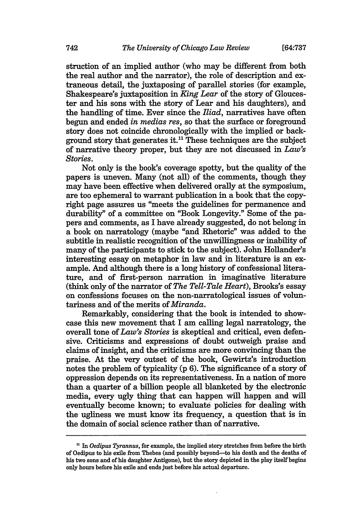struction of an implied author (who may be different from both the real author and the narrator), the role of description and extraneous detail, the juxtaposing of parallel stories (for example, Shakespeare's juxtaposition in *King Lear* of the story of Gloucester and his sons with the story of Lear and his daughters), and the handling of time. Ever since the *Iliad,* narratives have often begun and ended *in medias res,* so that the surface or foreground story does not coincide chronologically with the implied or background story that generates it.<sup>11</sup> These techniques are the subject of narrative theory proper, but they are not discussed in *Law's Stories.*

Not only is the book's coverage spotty, but the quality of the papers is uneven. Many (not all) of the comments, though they may have been effective when delivered orally at the symposium, are too ephemeral to warrant publication in a book that the copyright page assures us "meets the guidelines for permanence and durability" of a committee on "Book Longevity." Some of the papers and comments, as I have already suggested, do not belong in a book on narratology (maybe "and Rhetoric" was added to the subtitle in realistic recognition of the unwillingness or inability of many of the participants to stick to the subject). John Hollander's interesting essay on metaphor in law and in literature is an example. And although there is a long history of confessional literature, and of first-person narration in imaginative literature (think only of the narrator of *The Tell-Tale Heart),* Brooks's essay on confessions focuses on the non-narratological issues of voluntariness and of the merits of *Miranda.*

Remarkably, considering that the book is intended to showcase this new movement that I am calling legal narratology, the overall tone of *Law's Stories* is skeptical and critical, even defensive. Criticisms and expressions of doubt outweigh praise and claims of insight, and the criticisms are more convincing than the praise. At the very outset of the book, Gewirtz's introduction notes the problem of typicality (p 6). The significance of a story of oppression depends on its representativeness. In a nation of more than a quarter of a billion people all blanketed by the electronic media, every ugly thing that can happen will happen and will eventually become known; to evaluate policies for dealing with the ugliness we must know its frequency, a question that is in the domain of social science rather than of narrative.

*<sup>&</sup>quot;* In *Oedipus Tyrannus,* for example, the implied story stretches from before the birth of Oedipus to his exile from Thebes (and possibly beyond-to his death and the deaths of his two sons and of his daughter Antigone), but the story depicted in the play itself begins only hours before his exile and ends just before his actual departure.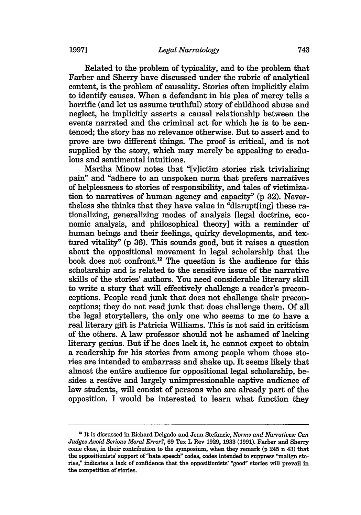Related to the problem of typicality, and to the problem that Farber and Sherry have discussed under the rubric of analytical content, is the problem of causality. Stories often implicitly claim to identify causes. When a defendant in his plea of mercy tells a horrific (and let us assume truthful) story of childhood abuse and neglect, he implicitly asserts a causal relationship between the events narrated and the criminal act for which he is to be sentenced; the story has no relevance otherwise. But to assert and to prove are two different things. The proof is critical, and is not supplied by the story, which may merely be appealing to credulous and sentimental intuitions.

Martha Minow notes that "[v]ictim stories risk trivializing pain" and "adhere to an unspoken norm that prefers narratives of helplessness to stories of responsibility, and tales of victimization to narratives of human agency and capacity" (p 32). Nevertheless she thinks that they have value in "disrupt[ing] these rationalizing, generalizing modes of analysis [legal doctrine, economic analysis, and philosophical theory] with a reminder of human beings and their feelings, quirky developments, and textured vitality" (p 36). This sounds good, but it raises a question about the oppositional movement in legal scholarship that the book does not confront.<sup>12</sup> The question is the audience for this scholarship and is related to the sensitive issue of the narrative skills of the stories' authors. You need considerable literary skill to write a story that will effectively challenge a reader's preconceptions. People read junk that does not challenge their preconceptions; they do not read junk that does challenge them. Of all the legal storytellers, the only one who seems to me to have a real literary gift is Patricia Williams. This is not said in criticism of the others. A law professor should not be ashamed of lacking literary genius. But if he does lack it, he cannot expect to obtain a readership for his stories from among people whom those stories are intended to embarrass and shake up. It seems likely that almost the entire audience for oppositional legal scholarship, besides a restive and largely unimpressionable captive audience of law students, will consist of persons who are already part of the opposition. I would be interested to learn what function they

<sup>&</sup>lt;sup>12</sup> It is discussed in Richard Delgado and Jean Stefancic, *Norms and Narratives: Can Judges Avoid Serious Moral Error?,* **69** Tex L Rev 1929, 1933 (1991). Farber and Sherry come close, in their contribution to the symposium, when they remark (p 245 n 43) that the oppositionists' support of "hate speech" codes, codes intended to suppress "malign stories," indicates a lack of confidence that the oppositionists' "good" stories will prevail in the competition of stories.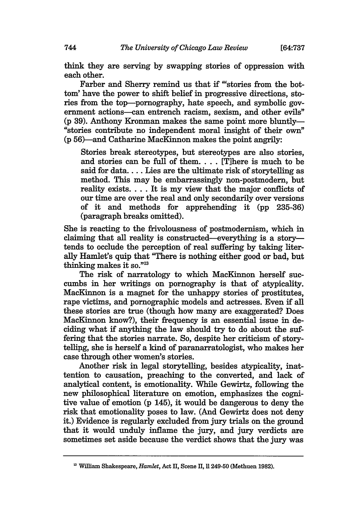think they are serving by swapping stories of oppression with each other.

Farber and Sherry remind us that if "'stories from the bottom' have the power to shift belief in progressive directions, stories from the top-pornography, hate speech, and symbolic government actions-can entrench racism, sexism, and other evils" (p 39). Anthony Kronman makes the same point more bluntly- "stories contribute no independent moral insight of their own" (p 56)-and Catharine MacKinnon makes the point angrily:

Stories break stereotypes, but stereotypes are also stories, and stories can be full of them **....** [Tihere is much to be said for data.... Lies are the ultimate risk of storytelling as method. This may be embarrassingly non-postmodern, but reality exists.... It is my view that the major conflicts of our time are over the real and only secondarily over versions of it and methods for apprehending it (pp 235-36) (paragraph breaks omitted).

She is reacting to the frivolousness of postmodernism, which in claiming that all reality is constructed-everything is a storytends to occlude the perception of real suffering by taking literally Hamlet's quip that "There is nothing either good or bad, but thinking makes it so."13

The risk of narratology to which MacKinnon herself succumbs in her writings on pornography is that of atypicality. MacKinnon is a magnet for the unhappy stories of prostitutes, rape victims, and pornographic models and actresses. Even if all these stories are true (though how many are exaggerated? Does MacKinnon know?), their frequency is an essential issue in deciding what if anything the law should try to do about the suffering that the stories narrate. So, despite her criticism of storytelling, she is herself a kind of paranarratologist, who makes her case through other women's stories.

Another risk in legal storytelling, besides atypicality, inattention to causation, preaching to the converted, and lack of analytical content, is emotionality. While Gewirtz, following the new philosophical literature on emotion, emphasizes the cognitive value of emotion (p 145), it would be dangerous to deny the risk that emotionality poses to law. (And Gewirtz does not deny it.) Evidence is regularly excluded from jury trials on the ground that it would unduly inflame the jury, and jury verdicts are sometimes set aside because the verdict shows that the jury was

**<sup>&#</sup>x27;** William Shakespeare, *Hamlet,* Act **H,** Scene **H,** 11249-50 (Methuen 1982).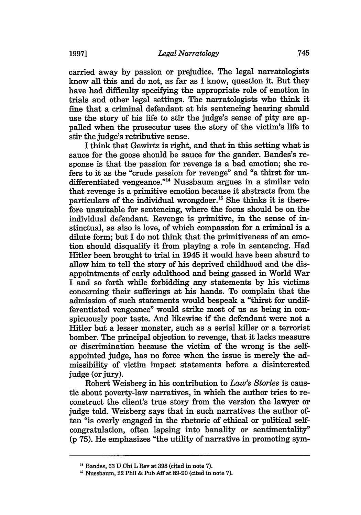carried away by passion or prejudice. The legal narratologists know **all** this and do not, as far as I know, question it. But they have had difficulty specifying the appropriate role of emotion in trials and other legal settings. The narratologists who think it fine that a criminal defendant at his sentencing hearing should use the story of his life to stir the judge's sense of pity are appalled when the prosecutor uses the story of the victim's life to stir the judge's retributive sense.

I think that Gewirtz is right, and that in this setting what is sauce for the goose should be sauce for the gander. Bandes's response is that the passion for revenge is a bad emotion; she refers to it as the "crude passion for revenge" and "a thirst for undifferentiated vengeance."<sup>14</sup> Nussbaum argues in a similar vein that revenge is a primitive emotion because it abstracts from the particulars of the individual wrongdoer.<sup>15</sup> She thinks it is therefore unsuitable for sentencing, where the focus should be on the individual defendant. Revenge is primitive, in the sense of instinctual, as also is love, of which compassion for a criminal is a dilute form; but I do not think that the primitiveness of an emotion should disqualify it from playing a role in sentencing. Had Hitler been brought to trial in 1945 it would have been absurd to allow him to tell the story of his deprived childhood and the disappointments of early adulthood and being gassed in World War I and so forth while forbidding any statements by his victims concerning their sufferings at his hands. To complain that the admission of such statements would bespeak a "thirst for undifferentiated vengeance" would strike most of us as being in conspicuously poor taste. And likewise if the defendant were not a Hitler but a lesser monster, such as a serial killer or a terrorist bomber. The principal objection to revenge, that it lacks measure or discrimination because the victim of the wrong is the selfappointed judge, has no force when the issue is merely the admissibility of victim impact statements before a disinterested judge (or jury).

Robert Weisberg in his contribution to *Law's Stories* is caustic about poverty-law narratives, in which the author tries to reconstruct the client's true story from the version the lawyer or judge told. Weisberg says that in such narratives the author often "is overly engaged in the rhetoric of ethical or political selfcongratulation, often lapsing into banality or sentimentality" (p 75). He emphasizes "the utility of narrative in promoting sym-

**<sup>&</sup>quot;** Bandes, **63 U** Chi L Rev at **398** (cited in note **7).**

Nussbaum, 22 Phil & Pub Aff at **89-90** (cited in note **7).**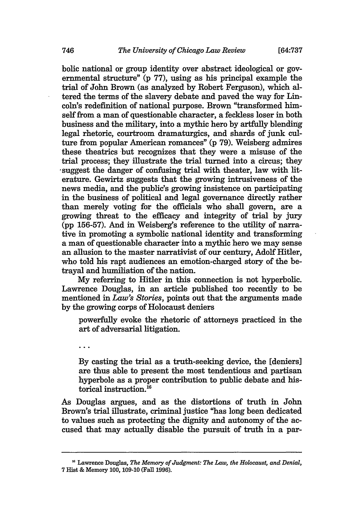bolic national or group identity over abstract ideological or governmental structure" **(p 77),** using as his principal example the trial of John Brown (as analyzed **by** Robert Ferguson), which altered the terms of the slavery debate and paved the way for Lin**coln's** redefinition of national purpose. Brown "transformed himself from a man of questionable character, a feckless loser in both business and the military, into a mythic hero **by** artfully blending legal rhetoric, courtroom dramaturgics, and shards of junk cul**ture** from popular American romances" **(p 79).** Weisberg admires these theatrics but recognizes that they were a misuse of the trial process; they illustrate the trial turned into a circus; they 'suggest the danger of confusing trial with theater, law with literature. Gewirtz suggests that the growing intrusiveness of the news media, and the public's growing insistence on participating in the business of political and legal governance directly rather than merely voting for the officials who shall govern, are a growing threat to the efficacy and integrity of trial **by** jury (pp 156-57). And in Weisberg's reference to the utility of narrative in promoting a symbolic national identity and transforming a man of questionable character into a mythic hero we may sense an allusion to the master narrativist of our century, Adolf Hitler, who told his rapt audiences an emotion-charged story of the betrayal and humiliation of the nation.

My referring to Hitler in this connection is not hyperbolic. Lawrence Douglas, in an article published too recently to be mentioned in *Law's Stories,* points out that the arguments made by the growing corps of Holocaust deniers

powerftully evoke the rhetoric of attorneys practiced in the art of adversarial litigation.

 $\ddotsc$ 

By casting the trial as a truth-seeking device, the [deniers] are thus able to present the most tendentious and partisan hyperbole as a proper contribution to public debate and historical instruction.<sup>16</sup>

As Douglas argues, and as the distortions of truth in John Brown's trial illustrate, criminal justice "has long been dedicated to values such as protecting the dignity and autonomy of the accused that may actually disable the pursuit of truth in a par-

<sup>&</sup>lt;sup>16</sup> Lawrence Douglas, *The Memory of Judgment: The Law, the Holocaust, and Denial,* 7 Hist & Memory 100, 109-10 (Fall 1996).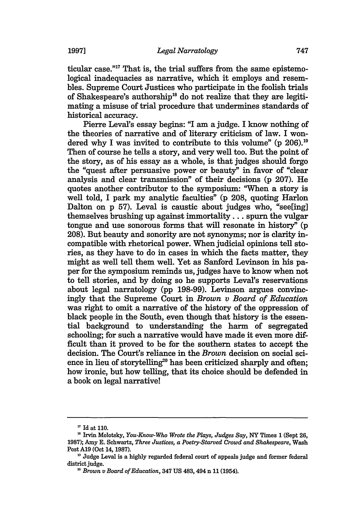ticular case."<sup>17</sup> That is, the trial suffers from the same epistemological inadequacies as narrative, which it employs and resembles. Supreme Court Justices who participate in the foolish trials of Shakespeare's authorship<sup>18</sup> do not realize that they are legitimating a misuse of trial procedure that undermines standards of historical accuracy.

Pierre Leval's essay begins: "I am a judge. I know nothing of the theories of narrative and of literary criticism of law. I wondered why I was invited to contribute to this volume" (p 206).<sup>19</sup> Then of course he tells a story, and very well too. But the point of the story, as of his essay as a whole, is that judges should forgo the "quest after persuasive power or beauty" in favor of "clear analysis and clear transmission" of their decisions (p 207). He quotes another contributor to the symposium: "When a story is well told, I park my analytic faculties" **(p 208,** quoting Harlon Dalton on **p 57).** Leval is caustic about judges who, "see[ing] themselves brushing up against **immortality...** spurn the vulgar tongue and use sonorous forms that will resonate in history" **(p 208).** But beauty and sonority are not synonyms; nor is clarity incompatible with rhetorical power. When judicial opinions tell stories, as they have to do in cases in which the facts matter, they might as well tell them well. Yet as Sanford Levinson in his paper for the symposium reminds us, judges have to know when not to tell stories, and **by** doing so he supports Leval's reservations about legal narratology **(pp 198-99).** Levinson argues convincingly that the Supreme Court in *Brown v Board of Education* was right to omit a narrative of the history of the oppression of black people in the South, even though that history is the essential background to understanding the harm of segregated schooling; for such a narrative would have made it even more difficult than it proved to be for the southern states to accept the decision. The Court's reliance in the *Brown* decision on social science in lieu of storytelling<sup>20</sup> has been criticized sharply and often; how ironic, but how telling, that its choice should be defended in a book on legal narrative!

**<sup>17</sup>**Id at 110.

Irvin Molotsky, *You-Know-Who Wrote the Plays, Judges Say,* NY Times **1** (Sept **26,** 1987); Amy E. Schwartz, *Three Justices, a Poetry-Starved Crowd and Shakespeare,* Wash Post A19 (Oct 14, 1987).

<sup>&</sup>lt;sup>19</sup> Judge Leval is a highly regarded federal court of appeals judge and former federal district judge.

*Brown v Board of Education,* 347 US 483, 494 n 11 (1954).